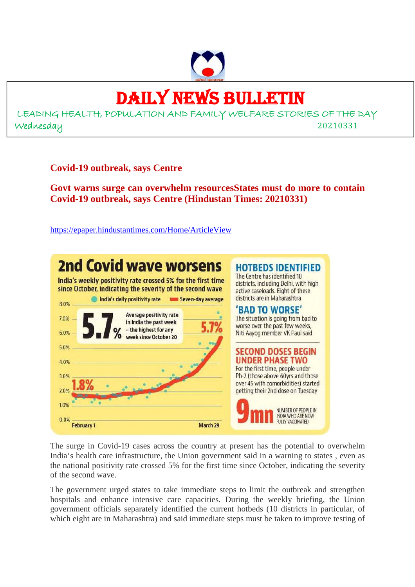

### DAILY NEWS BULLETIN

LEADING HEALTH, POPULATION AND FAMILY WELFARE STORIES OF THE DAY Wednesday 20210331

**Covid-19 outbreak, says Centre**

**Govt warns surge can overwhelm resourcesStates must do more to contain Covid-19 outbreak, says Centre (Hindustan Times: 20210331)**

https://epaper.hindustantimes.com/Home/ArticleView



The surge in Covid-19 cases across the country at present has the potential to overwhelm India's health care infrastructure, the Union government said in a warning to states , even as the national positivity rate crossed 5% for the first time since October, indicating the severity of the second wave.

The government urged states to take immediate steps to limit the outbreak and strengthen hospitals and enhance intensive care capacities. During the weekly briefing, the Union government officials separately identified the current hotbeds (10 districts in particular, of which eight are in Maharashtra) and said immediate steps must be taken to improve testing of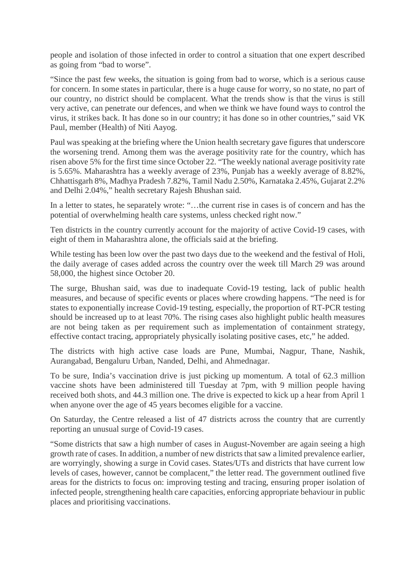people and isolation of those infected in order to control a situation that one expert described as going from "bad to worse".

"Since the past few weeks, the situation is going from bad to worse, which is a serious cause for concern. In some states in particular, there is a huge cause for worry, so no state, no part of our country, no district should be complacent. What the trends show is that the virus is still very active, can penetrate our defences, and when we think we have found ways to control the virus, it strikes back. It has done so in our country; it has done so in other countries," said VK Paul, member (Health) of Niti Aayog.

Paul was speaking at the briefing where the Union health secretary gave figures that underscore the worsening trend. Among them was the average positivity rate for the country, which has risen above 5% for the first time since October 22. "The weekly national average positivity rate is 5.65%. Maharashtra has a weekly average of 23%, Punjab has a weekly average of 8.82%, Chhattisgarh 8%, Madhya Pradesh 7.82%, Tamil Nadu 2.50%, Karnataka 2.45%, Gujarat 2.2% and Delhi 2.04%," health secretary Rajesh Bhushan said.

In a letter to states, he separately wrote: "...the current rise in cases is of concern and has the potential of overwhelming health care systems, unless checked right now."

Ten districts in the country currently account for the majority of active Covid-19 cases, with eight of them in Maharashtra alone, the officials said at the briefing.

While testing has been low over the past two days due to the weekend and the festival of Holi, the daily average of cases added across the country over the week till March 29 was around 58,000, the highest since October 20.

The surge, Bhushan said, was due to inadequate Covid-19 testing, lack of public health measures, and because of specific events or places where crowding happens. "The need is for states to exponentially increase Covid-19 testing, especially, the proportion of RT-PCR testing should be increased up to at least 70%. The rising cases also highlight public health measures are not being taken as per requirement such as implementation of containment strategy, effective contact tracing, appropriately physically isolating positive cases, etc," he added.

The districts with high active case loads are Pune, Mumbai, Nagpur, Thane, Nashik, Aurangabad, Bengaluru Urban, Nanded, Delhi, and Ahmednagar.

To be sure, India's vaccination drive is just picking up momentum. A total of 62.3 million vaccine shots have been administered till Tuesday at 7pm, with 9 million people having received both shots, and 44.3 million one. The drive is expected to kick up a hear from April 1 when anyone over the age of 45 years becomes eligible for a vaccine.

On Saturday, the Centre released a list of 47 districts across the country that are currently reporting an unusual surge of Covid-19 cases.

"Some districts that saw a high number of cases in August-November are again seeing a high growth rate of cases. In addition, a number of new districts that saw a limited prevalence earlier, are worryingly, showing a surge in Covid cases. States/UTs and districts that have current low levels of cases, however, cannot be complacent," the letter read. The government outlined five areas for the districts to focus on: improving testing and tracing, ensuring proper isolation of infected people, strengthening health care capacities, enforcing appropriate behaviour in public places and prioritising vaccinations.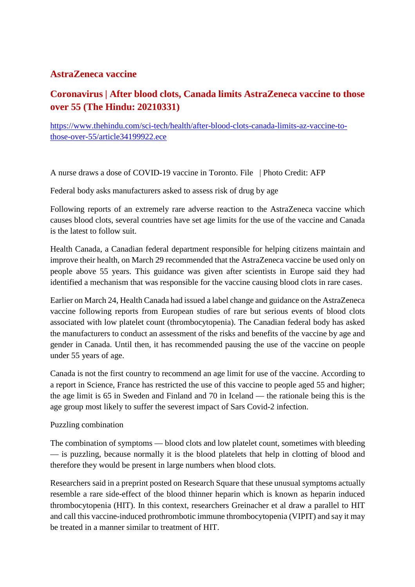### **AstraZeneca vaccine**

### **Coronavirus | After blood clots, Canada limits AstraZeneca vaccine to those over 55 (The Hindu: 20210331)**

https://www.thehindu.com/sci-tech/health/after-blood-clots-canada-limits-az-vaccine-tothose-over-55/article34199922.ece

A nurse draws a dose of COVID-19 vaccine in Toronto. File | Photo Credit: AFP

Federal body asks manufacturers asked to assess risk of drug by age

Following reports of an extremely rare adverse reaction to the AstraZeneca vaccine which causes blood clots, several countries have set age limits for the use of the vaccine and Canada is the latest to follow suit.

Health Canada, a Canadian federal department responsible for helping citizens maintain and improve their health, on March 29 recommended that the AstraZeneca vaccine be used only on people above 55 years. This guidance was given after scientists in Europe said they had identified a mechanism that was responsible for the vaccine causing blood clots in rare cases.

Earlier on March 24, Health Canada had issued a label change and guidance on the AstraZeneca vaccine following reports from European studies of rare but serious events of blood clots associated with low platelet count (thrombocytopenia). The Canadian federal body has asked the manufacturers to conduct an assessment of the risks and benefits of the vaccine by age and gender in Canada. Until then, it has recommended pausing the use of the vaccine on people under 55 years of age.

Canada is not the first country to recommend an age limit for use of the vaccine. According to a report in Science, France has restricted the use of this vaccine to people aged 55 and higher; the age limit is 65 in Sweden and Finland and 70 in Iceland — the rationale being this is the age group most likely to suffer the severest impact of Sars Covid-2 infection.

### Puzzling combination

The combination of symptoms — blood clots and low platelet count, sometimes with bleeding — is puzzling, because normally it is the blood platelets that help in clotting of blood and therefore they would be present in large numbers when blood clots.

Researchers said in a preprint posted on Research Square that these unusual symptoms actually resemble a rare side-effect of the blood thinner heparin which is known as heparin induced thrombocytopenia (HIT). In this context, researchers Greinacher et al draw a parallel to HIT and call this vaccine-induced prothrombotic immune thrombocytopenia (VIPIT) and say it may be treated in a manner similar to treatment of HIT.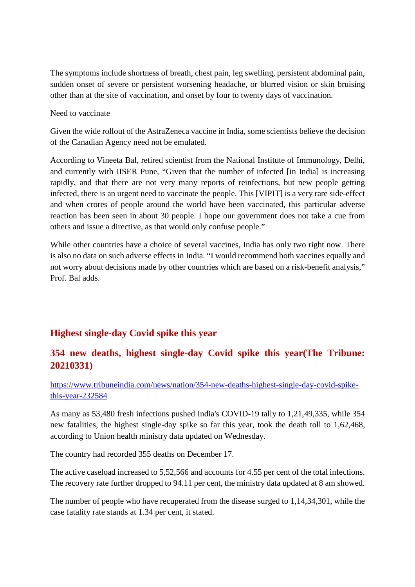The symptoms include shortness of breath, chest pain, leg swelling, persistent abdominal pain, sudden onset of severe or persistent worsening headache, or blurred vision or skin bruising other than at the site of vaccination, and onset by four to twenty days of vaccination.

Need to vaccinate

Given the wide rollout of the AstraZeneca vaccine in India, some scientists believe the decision of the Canadian Agency need not be emulated.

According to Vineeta Bal, retired scientist from the National Institute of Immunology, Delhi, and currently with IISER Pune, "Given that the number of infected [in India] is increasing rapidly, and that there are not very many reports of reinfections, but new people getting infected, there is an urgent need to vaccinate the people. This [VIPIT] is a very rare side-effect and when crores of people around the world have been vaccinated, this particular adverse reaction has been seen in about 30 people. I hope our government does not take a cue from others and issue a directive, as that would only confuse people."

While other countries have a choice of several vaccines, India has only two right now. There is also no data on such adverse effects in India. "I would recommend both vaccines equally and not worry about decisions made by other countries which are based on a risk-benefit analysis," Prof. Bal adds.

### **Highest single-day Covid spike this year**

### **354 new deaths, highest single-day Covid spike this year(The Tribune: 20210331)**

https://www.tribuneindia.com/news/nation/354-new-deaths-highest-single-day-covid-spikethis-year-232584

As many as 53,480 fresh infections pushed India's COVID-19 tally to 1,21,49,335, while 354 new fatalities, the highest single-day spike so far this year, took the death toll to 1,62,468, according to Union health ministry data updated on Wednesday.

The country had recorded 355 deaths on December 17.

The active caseload increased to 5,52,566 and accounts for 4.55 per cent of the total infections. The recovery rate further dropped to 94.11 per cent, the ministry data updated at 8 am showed.

The number of people who have recuperated from the disease surged to 1,14,34,301, while the case fatality rate stands at 1.34 per cent, it stated.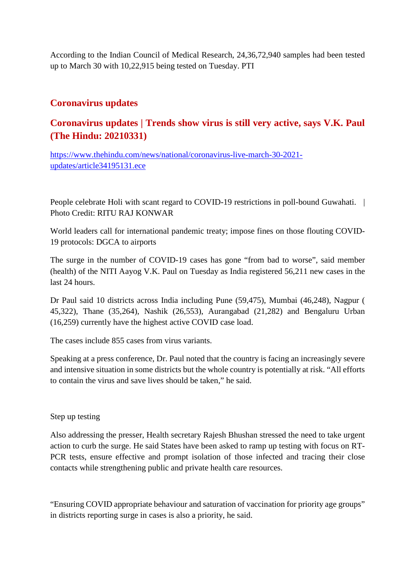According to the Indian Council of Medical Research, 24,36,72,940 samples had been tested up to March 30 with 10,22,915 being tested on Tuesday. PTI

### **Coronavirus updates**

### **Coronavirus updates | Trends show virus is still very active, says V.K. Paul (The Hindu: 20210331)**

https://www.thehindu.com/news/national/coronavirus-live-march-30-2021 updates/article34195131.ece

People celebrate Holi with scant regard to COVID-19 restrictions in poll-bound Guwahati. | Photo Credit: RITU RAJ KONWAR

World leaders call for international pandemic treaty; impose fines on those flouting COVID-19 protocols: DGCA to airports

The surge in the number of COVID-19 cases has gone "from bad to worse", said member (health) of the NITI Aayog V.K. Paul on Tuesday as India registered 56,211 new cases in the last 24 hours.

Dr Paul said 10 districts across India including Pune (59,475), Mumbai (46,248), Nagpur ( 45,322), Thane (35,264), Nashik (26,553), Aurangabad (21,282) and Bengaluru Urban (16,259) currently have the highest active COVID case load.

The cases include 855 cases from virus variants.

Speaking at a press conference, Dr. Paul noted that the country is facing an increasingly severe and intensive situation in some districts but the whole country is potentially at risk. "All efforts to contain the virus and save lives should be taken," he said.

### Step up testing

Also addressing the presser, Health secretary Rajesh Bhushan stressed the need to take urgent action to curb the surge. He said States have been asked to ramp up testing with focus on RT-PCR tests, ensure effective and prompt isolation of those infected and tracing their close contacts while strengthening public and private health care resources.

"Ensuring COVID appropriate behaviour and saturation of vaccination for priority age groups" in districts reporting surge in cases is also a priority, he said.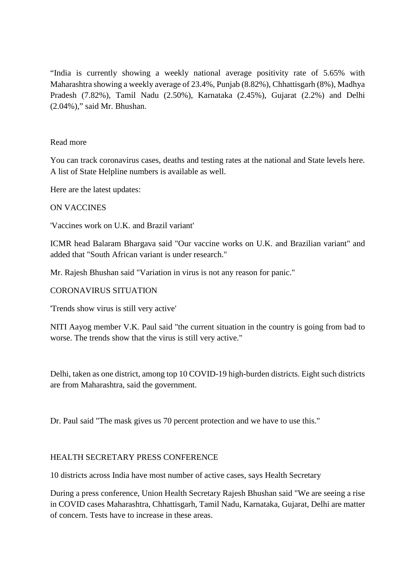"India is currently showing a weekly national average positivity rate of 5.65% with Maharashtra showing a weekly average of 23.4%, Punjab (8.82%), Chhattisgarh (8%), Madhya Pradesh (7.82%), Tamil Nadu (2.50%), Karnataka (2.45%), Gujarat (2.2%) and Delhi (2.04%)," said Mr. Bhushan.

### Read more

You can track coronavirus cases, deaths and testing rates at the national and State levels here. A list of State Helpline numbers is available as well.

Here are the latest updates:

### ON VACCINES

'Vaccines work on U.K. and Brazil variant'

ICMR head Balaram Bhargava said "Our vaccine works on U.K. and Brazilian variant" and added that "South African variant is under research."

Mr. Rajesh Bhushan said "Variation in virus is not any reason for panic."

### CORONAVIRUS SITUATION

'Trends show virus is still very active'

NITI Aayog member V.K. Paul said "the current situation in the country is going from bad to worse. The trends show that the virus is still very active."

Delhi, taken as one district, among top 10 COVID-19 high-burden districts. Eight such districts are from Maharashtra, said the government.

Dr. Paul said "The mask gives us 70 percent protection and we have to use this."

### HEALTH SECRETARY PRESS CONFERENCE

10 districts across India have most number of active cases, says Health Secretary

During a press conference, Union Health Secretary Rajesh Bhushan said "We are seeing a rise in COVID cases Maharashtra, Chhattisgarh, Tamil Nadu, Karnataka, Gujarat, Delhi are matter of concern. Tests have to increase in these areas.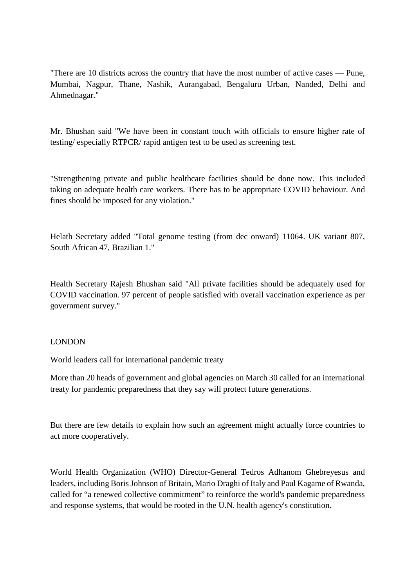"There are 10 districts across the country that have the most number of active cases — Pune, Mumbai, Nagpur, Thane, Nashik, Aurangabad, Bengaluru Urban, Nanded, Delhi and Ahmednagar."

Mr. Bhushan said "We have been in constant touch with officials to ensure higher rate of testing/ especially RTPCR/ rapid antigen test to be used as screening test.

"Strengthening private and public healthcare facilities should be done now. This included taking on adequate health care workers. There has to be appropriate COVID behaviour. And fines should be imposed for any violation."

Helath Secretary added "Total genome testing (from dec onward) 11064. UK variant 807, South African 47, Brazilian 1."

Health Secretary Rajesh Bhushan said "All private facilities should be adequately used for COVID vaccination. 97 percent of people satisfied with overall vaccination experience as per government survey."

### LONDON

World leaders call for international pandemic treaty

More than 20 heads of government and global agencies on March 30 called for an international treaty for pandemic preparedness that they say will protect future generations.

But there are few details to explain how such an agreement might actually force countries to act more cooperatively.

World Health Organization (WHO) Director-General Tedros Adhanom Ghebreyesus and leaders, including Boris Johnson of Britain, Mario Draghi of Italy and Paul Kagame of Rwanda, called for "a renewed collective commitment" to reinforce the world's pandemic preparedness and response systems, that would be rooted in the U.N. health agency's constitution.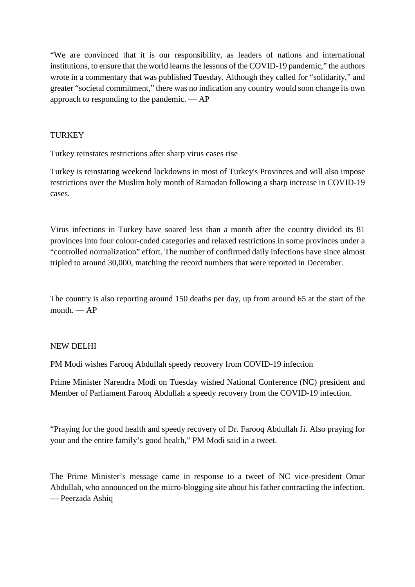"We are convinced that it is our responsibility, as leaders of nations and international institutions, to ensure that the world learns the lessons of the COVID-19 pandemic," the authors wrote in a commentary that was published Tuesday. Although they called for "solidarity," and greater "societal commitment," there was no indication any country would soon change its own approach to responding to the pandemic. — AP

### **TURKEY**

Turkey reinstates restrictions after sharp virus cases rise

Turkey is reinstating weekend lockdowns in most of Turkey's Provinces and will also impose restrictions over the Muslim holy month of Ramadan following a sharp increase in COVID-19 cases.

Virus infections in Turkey have soared less than a month after the country divided its 81 provinces into four colour-coded categories and relaxed restrictions in some provinces under a "controlled normalization" effort. The number of confirmed daily infections have since almost tripled to around 30,000, matching the record numbers that were reported in December.

The country is also reporting around 150 deaths per day, up from around 65 at the start of the  $month = AP$ 

### NEW DELHI

PM Modi wishes Farooq Abdullah speedy recovery from COVID-19 infection

Prime Minister Narendra Modi on Tuesday wished National Conference (NC) president and Member of Parliament Farooq Abdullah a speedy recovery from the COVID-19 infection.

"Praying for the good health and speedy recovery of Dr. Farooq Abdullah Ji. Also praying for your and the entire family's good health," PM Modi said in a tweet.

The Prime Minister's message came in response to a tweet of NC vice-president Omar Abdullah, who announced on the micro-blogging site about his father contracting the infection. — Peerzada Ashiq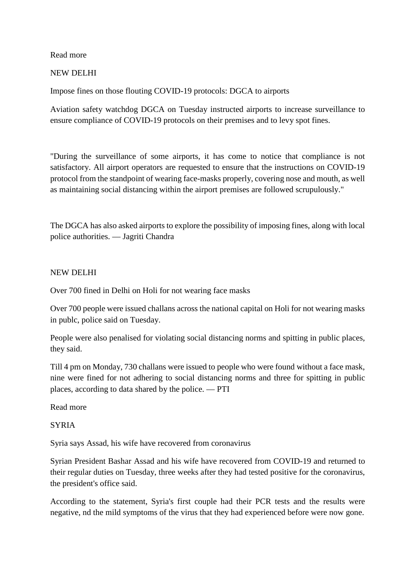Read more

### NEW DELHI

Impose fines on those flouting COVID-19 protocols: DGCA to airports

Aviation safety watchdog DGCA on Tuesday instructed airports to increase surveillance to ensure compliance of COVID-19 protocols on their premises and to levy spot fines.

"During the surveillance of some airports, it has come to notice that compliance is not satisfactory. All airport operators are requested to ensure that the instructions on COVID-19 protocol from the standpoint of wearing face-masks properly, covering nose and mouth, as well as maintaining social distancing within the airport premises are followed scrupulously."

The DGCA has also asked airports to explore the possibility of imposing fines, along with local police authorities. — Jagriti Chandra

### NEW DELHI

Over 700 fined in Delhi on Holi for not wearing face masks

Over 700 people were issued challans across the national capital on Holi for not wearing masks in publc, police said on Tuesday.

People were also penalised for violating social distancing norms and spitting in public places, they said.

Till 4 pm on Monday, 730 challans were issued to people who were found without a face mask, nine were fined for not adhering to social distancing norms and three for spitting in public places, according to data shared by the police. — PTI

Read more

### **SYRIA**

Syria says Assad, his wife have recovered from coronavirus

Syrian President Bashar Assad and his wife have recovered from COVID-19 and returned to their regular duties on Tuesday, three weeks after they had tested positive for the coronavirus, the president's office said.

According to the statement, Syria's first couple had their PCR tests and the results were negative, nd the mild symptoms of the virus that they had experienced before were now gone.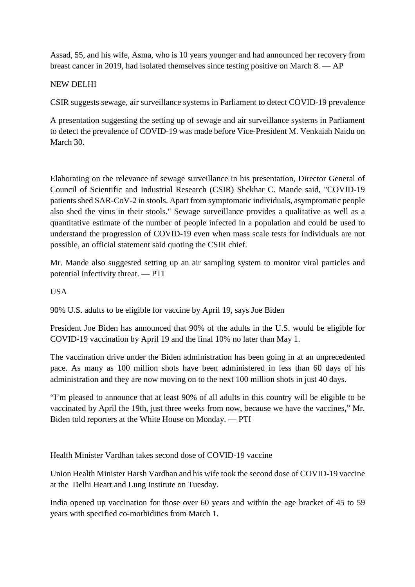Assad, 55, and his wife, Asma, who is 10 years younger and had announced her recovery from breast cancer in 2019, had isolated themselves since testing positive on March 8. — AP

### NEW DELHI

CSIR suggests sewage, air surveillance systems in Parliament to detect COVID-19 prevalence

A presentation suggesting the setting up of sewage and air surveillance systems in Parliament to detect the prevalence of COVID-19 was made before Vice-President M. Venkaiah Naidu on March 30.

Elaborating on the relevance of sewage surveillance in his presentation, Director General of Council of Scientific and Industrial Research (CSIR) Shekhar C. Mande said, "COVID-19 patients shed SAR-CoV-2 in stools. Apart from symptomatic individuals, asymptomatic people also shed the virus in their stools." Sewage surveillance provides a qualitative as well as a quantitative estimate of the number of people infected in a population and could be used to understand the progression of COVID-19 even when mass scale tests for individuals are not possible, an official statement said quoting the CSIR chief.

Mr. Mande also suggested setting up an air sampling system to monitor viral particles and potential infectivity threat. — PTI

USA

90% U.S. adults to be eligible for vaccine by April 19, says Joe Biden

President Joe Biden has announced that 90% of the adults in the U.S. would be eligible for COVID-19 vaccination by April 19 and the final 10% no later than May 1.

The vaccination drive under the Biden administration has been going in at an unprecedented pace. As many as 100 million shots have been administered in less than 60 days of his administration and they are now moving on to the next 100 million shots in just 40 days.

"I'm pleased to announce that at least 90% of all adults in this country will be eligible to be vaccinated by April the 19th, just three weeks from now, because we have the vaccines," Mr. Biden told reporters at the White House on Monday. — PTI

Health Minister Vardhan takes second dose of COVID-19 vaccine

Union Health Minister Harsh Vardhan and his wife took the second dose of COVID-19 vaccine at the Delhi Heart and Lung Institute on Tuesday.

India opened up vaccination for those over 60 years and within the age bracket of 45 to 59 years with specified co-morbidities from March 1.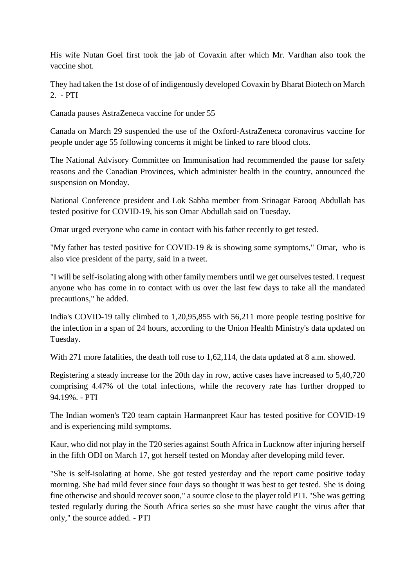His wife Nutan Goel first took the jab of Covaxin after which Mr. Vardhan also took the vaccine shot.

They had taken the 1st dose of of indigenously developed Covaxin by Bharat Biotech on March 2. - PTI

Canada pauses AstraZeneca vaccine for under 55

Canada on March 29 suspended the use of the Oxford-AstraZeneca coronavirus vaccine for people under age 55 following concerns it might be linked to rare blood clots.

The National Advisory Committee on Immunisation had recommended the pause for safety reasons and the Canadian Provinces, which administer health in the country, announced the suspension on Monday.

National Conference president and Lok Sabha member from Srinagar Farooq Abdullah has tested positive for COVID-19, his son Omar Abdullah said on Tuesday.

Omar urged everyone who came in contact with his father recently to get tested.

"My father has tested positive for COVID-19  $\&$  is showing some symptoms," Omar, who is also vice president of the party, said in a tweet.

"I will be self-isolating along with other family members until we get ourselves tested. I request anyone who has come in to contact with us over the last few days to take all the mandated precautions," he added.

India's COVID-19 tally climbed to 1,20,95,855 with 56,211 more people testing positive for the infection in a span of 24 hours, according to the Union Health Ministry's data updated on Tuesday.

With 271 more fatalities, the death toll rose to 1,62,114, the data updated at 8 a.m. showed.

Registering a steady increase for the 20th day in row, active cases have increased to 5,40,720 comprising 4.47% of the total infections, while the recovery rate has further dropped to 94.19%. - PTI

The Indian women's T20 team captain Harmanpreet Kaur has tested positive for COVID-19 and is experiencing mild symptoms.

Kaur, who did not play in the T20 series against South Africa in Lucknow after injuring herself in the fifth ODI on March 17, got herself tested on Monday after developing mild fever.

"She is self-isolating at home. She got tested yesterday and the report came positive today morning. She had mild fever since four days so thought it was best to get tested. She is doing fine otherwise and should recover soon," a source close to the player told PTI. "She was getting tested regularly during the South Africa series so she must have caught the virus after that only," the source added. - PTI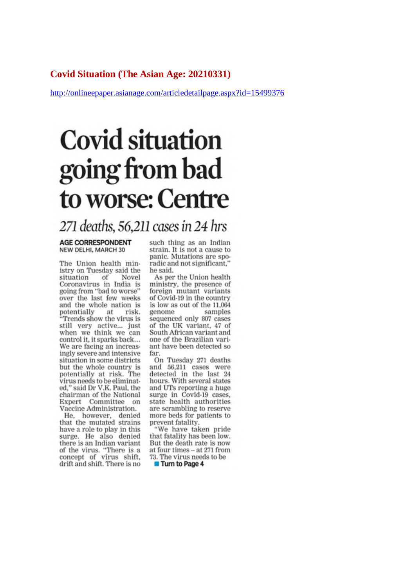### **Covid Situation (The Asian Age: 20210331)**

http://onlineepaper.asianage.com/articledetailpage.aspx?id=15499376

# **Covid situation** going from bad to worse: Centre

### 271 deaths, 56, 211 cases in 24 hrs

#### **AGE CORRESPONDENT** NEW DELHI, MARCH 30

The Union health ministry on Tuesday said the situation of Novel Coronavirus in India is going from "bad to worse" over the last few weeks and the whole nation is potentially at risk. "Trends show the virus is still very active... just<br>when we think we can control it, it sparks back... We are facing an increasingly severe and intensive situation in some districts but the whole country is potentially at risk. The virus needs to be eliminated," said Dr V.K. Paul, the chairman of the National Expert Committee on Vaccine Administration.

He, however, denied that the mutated strains have a role to play in this surge. He also denied there is an Indian variant of the virus. "There is a<br>concept of virus shift, drift and shift. There is no such thing as an Indian strain. It is not a cause to panic. Mutations are sporadic and not significant,' he said.

As per the Union health ministry, the presence of foreign mutant variants of Covid-19 in the country is low as out of the 11,064 genome samples sequenced only 807 cases of the UK variant, 47 of South African variant and one of the Brazilian variant have been detected so far.

On Tuesday 271 deaths and 56,211 cases were detected in the last 24 hours. With several states and UTs reporting a huge surge in Covid-19 cases, state health authorities are scrambling to reserve more beds for patients to prevent fatality.

"We have taken pride that fatality has been low. But the death rate is now at four times -- at 271 from 73. The virus needs to be

**Turn to Page 4**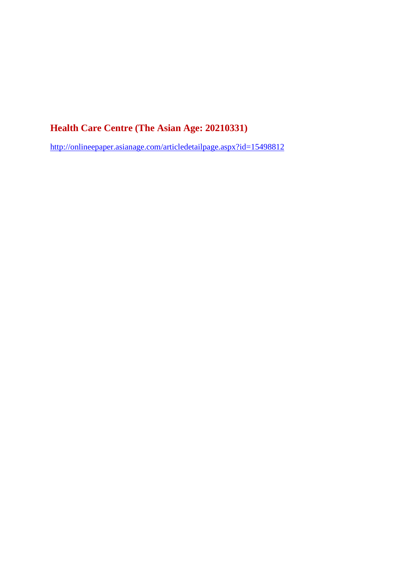### **Health Care Centre (The Asian Age: 20210331)**

http://onlineepaper.asianage.com/articledetailpage.aspx?id=15498812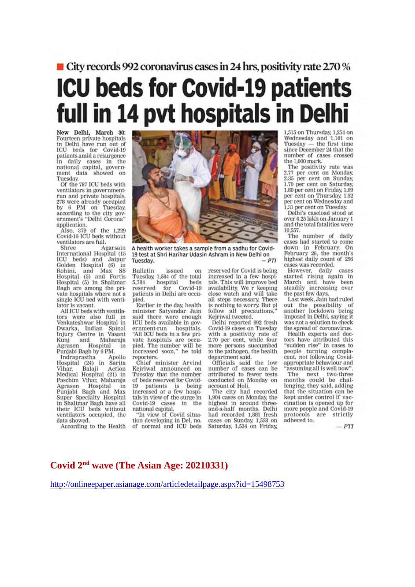### ■ City records 992 coronavirus cases in 24 hrs, positivity rate 2.70 % **ICU beds for Covid-19 patients** full in 14 pvt hospitals in Delhi

New Delhi, March 30: Fourteen private hospitals<br>in Delhi have run out of ICU beds for Covid-19 patients amid a resurgence in daily cases in the<br>national capital, government data showed on Tuesday.

Of the 787 ICU beds with ventilators in governmentrun and private hospitals. 278 were already occupied<br>by 6 PM on Tuesday, according to the city government's "Delhi Corona" application.

Also, 379 of the 1,229<br>Covid-19 ICU beds without ventilators are full.

Shree Agarsain International Hospital (15 ICU beds) and Jaipur<br>Golden Hospital (6) in<br>Rohini, and Max SS<br>Hospital (5) and Fortis<br>Hospital (5) in Shalimar Bagh are among the private hospitals where not a single ICU bed with ventilator is vacant.

All ICU beds with ventilators were also full in<br>Venkateshwar Hospital in Dwarka, Indian Spinal<br>Injury Centre in Vasant and Maharaja Kuni Agrasen Hospital Punjabi Bagh by 6 PM.

Apollo Indraprastha Hospital (24) in Sarita Balaji Vihar, Action Medical Hospital (21) in Paschim Vihar, Maharaja Hospital Agrasen in Punjabi Bagh and Max Super Specialty Hospital in Shalimar Bagh have all their ICU beds without ventilators occupied, the data showed.

According to the Health



A health worker takes a sample from a sadhu for Covid-19 test at Shri Harihar Udasin Ashram in New Delhi on Tuesday.

**Bulletin** issued on Tuesday, 1,584 of the total 5,784 hospital beds<br>reserved for Covid-19 patients in Delhi are occupied.

Earlier in the day, health minister Satyendar Jain said there were enough ICU beds available in government-run hospitals.<br>"All ICU beds in a few private hospitals are occupied. The number will be<br>increased soon," he told reporters.

Chief minister Arvind Kejriwal announced on<br>Tuesday that the number of beds reserved for Covid-19 patients is being increased at a few hospitals in view of the surge in Covid-19 cases in the national capital.

"In view of Covid situation developing in Del, no. of normal and ICU beds

reserved for Covid is being increased in a few hospitals. This will improve bed availability. We r keeping close watch and will take all steps necessary. There is nothing to worry. But pl follow all precautions. Kejriwal tweeted.

Delhi reported 992 fresh Covid-19 cases on Tuesday with a positivity rate of 2.70 per cent, while four more persons succumbed to the pathogen, the health department said.

Officials said the low<br>number of cases can be<br>attributed to fewer tests conducted on Monday on<br>account of Holi.

The city had recorded 1,904 cases on Monday, the highest in around threeand-a-half months. Delhi had recorded 1,881 fresh cases on Sunday, 1,558 on Saturday, 1,534 on Friday,

1,515 on Thursday, 1,254 on Wednesday and 1,101 on<br>Tuesday — the first time since December 24 that the number of cases crossed the 1,000 mark.

The positivity rate was 2.77 per cent on Monday, 2.35 per cent on Sunday, 1.70 per cent on Saturday. 1.80 per cent on Friday, 1.69 per cent on Thursday, 1.52 per cent on Wednesday and 1.31 per cent on Tuesday.

Delhi's caseload stood at over 6.25 lakh on January 1 and the total fatalities were 10.557.

The number of daily cases had started to come down in February. On<br>February 26, the month's highest daily count of 256 cases was recorded.

cases was recorded.<br>However, daily cases<br>started rising again in<br>March and have been<br>steadily increasing over the past few days.

Last week, Jain had ruled out the possibility of<br>another lockdown being imposed in Delhi, saying it was not a solution to check the spread of coronavirus.

Health experts and doctors have attributed this "sudden rise" in cases to people turning complacent, not following Covidappropriate behaviour and assuming all is well now".

The next two-three<br>months could be challenging, they said, adding that the situation can be kept under control if vaccination is opened up for more people and Covid-19 protocols are strictly adhered to.

 $-PTI$ 

### Covid 2<sup>nd</sup> wave (The Asian Age: 20210331)

http://onlineepaper.asianage.com/articledetailpage.aspx?id=15498753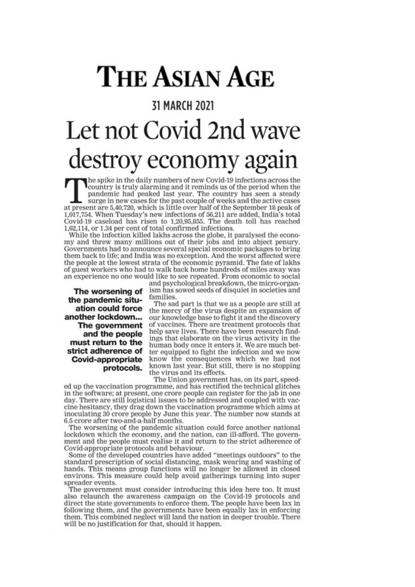# **THE ASIAN AGE**

### 31 MARCH 2021 Let not Covid 2nd wave destroy economy again

The spike in the daily numbers of new Covid-19 infections across the country is truly alarming and it reminds us of the period when the pandemic had peaked last year. The country has seen a steady surge in new cases for the past couple of weeks and the active cases at present are 5,40,720, which is little over half of the September 18 peak of 1,017,754. When Tuesday's new infections of 56,211 are added, India's total Covid-19 caseload has risen to 1,20,95,855. The death toll has reached 1,62,114, or 1.34 per cent of total confirmed infections.

While the infection killed lakhs across the globe, it paralysed the economy and threw many millions out of their jobs and into abject penury. Governments had to announce several special economic packages to bring them back to life; and India was no exception. And the worst affected were the people at the lowest strata of the economic pyramid. The fate of lakhs of guest workers who had to walk back home hundreds of miles away was an experience no one would like to see repeated. From economic to social

The worsening of the pandemic situation could force another lockdown... The government and the people must return to the strict adherence of **Covid-appropriate** protocols.

and psychological breakdown, the micro-organism has sowed seeds of disquiet in societies and families.

The sad part is that we as a people are still at the mercy of the virus despite an expansion of our knowledge base to fight it and the discovery of vaccines. There are treatment protocols that help save lives. There have been research findings that elaborate on the virus activity in the human body once it enters it. We are much better equipped to fight the infection and we now know the consequences which we had not known last year. But still, there is no stopping the virus and its effects.

The Union government has, on its part, speeded up the vaccination programme, and has rectified the technical glitches in the software; at present, one crore people can register for the jab in one day. There are still logistical issues to be addressed and coupled with vaccine hesitancy, they drag down the vaccination programme which aims at inoculating 30 crore people by June this year. The number now stands at 6.5 crore after two-and-a-half months.

The worsening of the pandemic situation could force another national lockdown which the economy, and the nation, can ill-afford. The government and the people must realise it and return to the strict adherence of Covid-appropriate protocols and behaviour.

Some of the developed countries have added "meetings outdoors" to the standard prescription of social distancing, mask wearing and washing of hands. This means group functions will no longer be allowed in closed environs. This measure could help avoid gatherings turning into super spreader events.

The government must consider introducing this idea here too. It must also relaunch the awareness campaign on the Covid-19 protocols and direct the state governments to enforce them. The people have been lax in following them, and the governments have been equally lax in enforcing them. This combined neglect will land the nation in deeper trouble. There will be no justification for that, should it happen.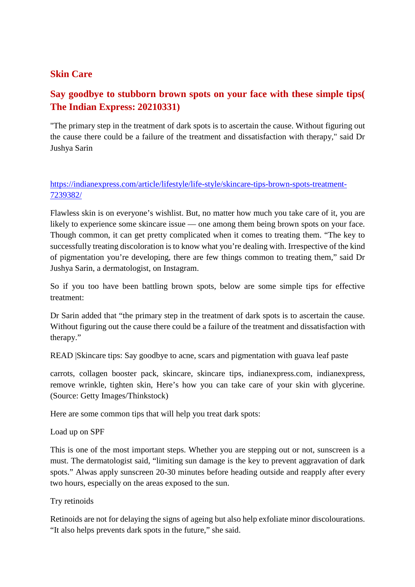### **Skin Care**

### **Say goodbye to stubborn brown spots on your face with these simple tips( The Indian Express: 20210331)**

"The primary step in the treatment of dark spots is to ascertain the cause. Without figuring out the cause there could be a failure of the treatment and dissatisfaction with therapy," said Dr Jushya Sarin

### https://indianexpress.com/article/lifestyle/life-style/skincare-tips-brown-spots-treatment-7239382/

Flawless skin is on everyone's wishlist. But, no matter how much you take care of it, you are likely to experience some skincare issue — one among them being brown spots on your face. Though common, it can get pretty complicated when it comes to treating them. "The key to successfully treating discoloration is to know what you're dealing with. Irrespective of the kind of pigmentation you're developing, there are few things common to treating them," said Dr Jushya Sarin, a dermatologist, on Instagram.

So if you too have been battling brown spots, below are some simple tips for effective treatment:

Dr Sarin added that "the primary step in the treatment of dark spots is to ascertain the cause. Without figuring out the cause there could be a failure of the treatment and dissatisfaction with therapy."

READ Skincare tips: Say goodbye to acne, scars and pigmentation with guava leaf paste

carrots, collagen booster pack, skincare, skincare tips, indianexpress.com, indianexpress, remove wrinkle, tighten skin, Here's how you can take care of your skin with glycerine. (Source: Getty Images/Thinkstock)

Here are some common tips that will help you treat dark spots:

Load up on SPF

This is one of the most important steps. Whether you are stepping out or not, sunscreen is a must. The dermatologist said, "limiting sun damage is the key to prevent aggravation of dark spots." Alwas apply sunscreen 20-30 minutes before heading outside and reapply after every two hours, especially on the areas exposed to the sun.

Try retinoids

Retinoids are not for delaying the signs of ageing but also help exfoliate minor discolourations. "It also helps prevents dark spots in the future," she said.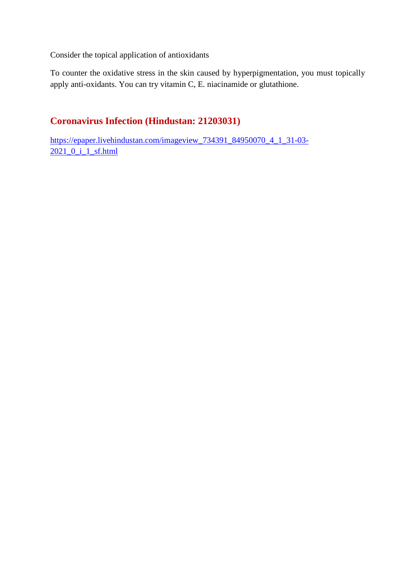Consider the topical application of antioxidants

To counter the oxidative stress in the skin caused by hyperpigmentation, you must topically apply anti-oxidants. You can try vitamin C, E. niacinamide or glutathione.

### **Coronavirus Infection (Hindustan: 21203031)**

https://epaper.livehindustan.com/imageview\_734391\_84950070\_4\_1\_31-03- 2021\_0\_i\_1\_sf.html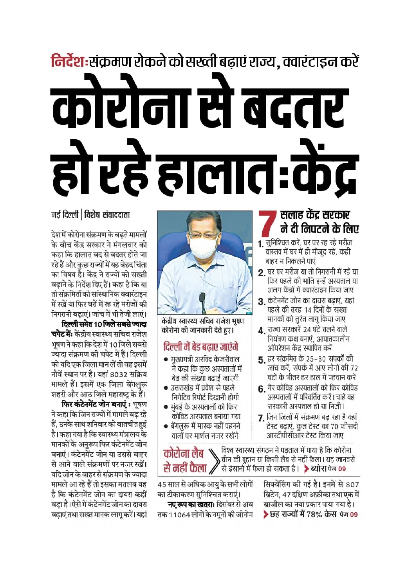# निर्देश:संक्रमण रोकने को सख्ती बढ़ाएं राज्य, क्वारंटाइन करें कोरोना से बदतर हो रहे हालात:केंद्र

### नई दिल्ली | विशेष संवाददाता

देश में कोरोना संक्रमण के बढते मामलों के बीच केंद्र सरकार ने मंगलवार को कहा कि हालात बद से बदतर होते जा रहे हैं और कुछ राज्यों में यह बेहद चिंता का विषय है। केंद्र ने राज्यों को सख्ती बढ़ाने के निर्देश दिए हैं। कहा है कि या तो संक्रमितों को सांस्थानिक क्वारंटाइन में रखें या फिर घरों में रह रहे मरीजों की निगरानी बढ़ाएं। जांच में भी तेजी लाएं।

दिल्ली समेत 10 जिले सबसे ज्यादा **चपेट में:** केंद्रीय स्वास्थ्य सचिव राजेश भूषण ने कहा कि देश में 10 जिले सबसे ज्यादा संक्रमण की चपेट में हैं। दिल्ली को यदि एक जिला मान लें तो वह इसमें नौवें स्थान पर है। यहां 8032 सक्रिय मामले हैं। इसमें एक जिला बेंगलुरू शहरी और आठ जिले महाराष्ट्र के हैं।

फिर कंटेनमेंट जोन बनाएं : भूषण ने कहा कि जिन राज्यों में मामले बढ़ रहे हैं, उनके साथ शनिवार को बातचीत हुई है। कहा गया है कि स्वास्थ्य मंत्रालय के मानकों के अनुरूप फिर कंटेनमेंट जोन बनाएं। कंटेनमेंट जोन या उससे बाहर से आने वाले संक्रमणों पर नजर रखें। यदि जोन के बाहर से संक्रमण के ज्यादा मामले आ रहे हैं तो इसका मतलब यह है कि कंटेनमेंट जोन का दायरा कहीं बड़ा है। ऐसे में कंटेनमेंट जोन का दायरा बढ़ाएं तथा सख्त मानक लागू करें। यहां



केंद्रीय स्वास्थ्य सचिव राजेश भूषण कोरोना की जानकारी देते हुए।

### दिल्ली में बेड बढाए जाएंगे

- मुख्यमंत्री अरविंद केजरीवाल ने कहा कि कुछ अस्पतालों में बेड की संख्या बढाई जाएगी
- उत्तराखंड में प्रवेश से पहले निगेटिव रिपोर्ट दिखानी होगी
- मुंबई के अस्पतालों को फिर कोविड अस्पताल बनाया गया
- बेंगलुरू में मास्क नहीं पहनने वालों पर मार्शल नजर रखेंगे

सलाह केंद्र सरकार ने दी निपटने के लिए

- 1. सुनिश्चित करें, घर पर रह रहे मरीज वास्तव में घर में ही मौजूद रहें, कही बाहर न निकलने पाएं
- 2. घर पर मरीज या तो निगरानी में रहें या फिर पहले की भांति इन्हें अस्पताल या अलग केंद्रों में क्वारंटाइन किया जाए
- 3 कंटेनमेंट जोन का दायरा बढाएं. यहां पहले की तरह 14 दिनों के सख्त मानकों को तुरंत लागू किया जाए
- 4. राज्य सरकारें 24 घंटे चलने वाले नियंत्रण कक्ष बनाएं, आपातकालीन ऑपरेशन केंद्र स्थापित करें
- 5 हर संक्रमित के 25–30 संपर्कों की जांच करें, संपर्क में आए लोगों की 72 घंटों के भीतर हर हाल में पहचान करें
- **६** गैर कोविड अस्पतालों को फिर कोविड अस्पतालों में परिवर्तित करें। चाहे वह सरकारी अस्पताल हों या निजी।
- 7. जिन जिलों में संक्रमण बढ़ रहा है वहां टेस्ट बढ़ाएं, कुल टेस्ट का 70 फीसदी आरटीपीसीआर टेस्ट किया जाए

कोरोना लेब<br>कोरोना लेब त्यारिय संगठन ने पड़ताल में पाया है कि कोरोना<br>से जनवरों से नहीं फैला / से इंसानों में फैला हो सकता है। > ब्योरा पेज 09

> सिक्वेंसिंग की गई है। इनमें से 807 ब्रिटेन, 47 दक्षिण अफ्रीका तथा एक में ब्राजील का नया प्रकार पाया गया है। ▶छह राज्यों में 78% केस पेज 09

45 साल से अधिक आयु के सभी लोगों का टीकाकरण सुनिश्चित कराएं। **नए रूप का खतराः** दिसंबर से अब तक 11064 लोगों के नमुनों की जीनोम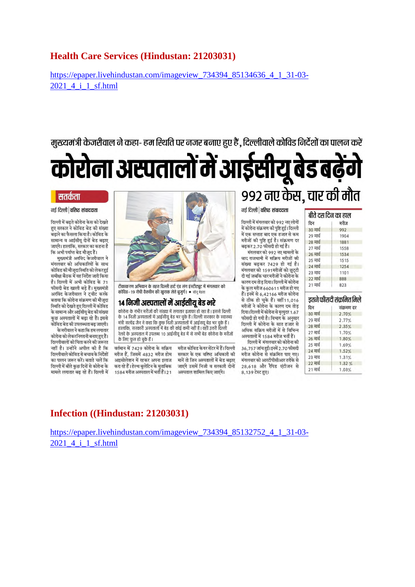### **Health Care Services (Hindustan: 21203031)**

https://epaper.livehindustan.com/imageview\_734394\_85134636\_4\_1\_31-03-2021 4 i 1 sf.html

मख्यमंत्री केजरीवाल ने कहा- हम स्थिति पर नजर बनाए हुए हैं . दिल्लीवाले कोविड निर्देशों का पालन करें

कोरोना अस्पतालों में आईसीयू बेड बढ़ेंगे

#### सतर्कता

#### नई दिल्ली | वरिष्ट संवाददाता

दिल्ली में बढते कोरोना केस को देखते हुए सरकार ने कोविड बेड की संख्या बढ़ाने का फैसला किया है। कोविड के सामान्य व आईसीयू दोनों बेड बढ़ाए जाएंगे। हालांकि, सरकार का कहना है कि अभी पर्याप्त बेड मौजूद हैं।

मुख्यमंत्री अरविंद केजरीवाल ने मंगलवार को अधिकारियों के साथ कोविड की मौजूदा स्थिति को लेकर हुई समीक्षा बैठक में यह निर्देश जारी किया है। दिल्ली में अभी कोविड के 71 फीसदी बेड खाली बड़े हैं। मुख्यमंत्री अरविंद केजरीवाल ने ट्वीट करके बताया कि कोरोना संक्रमण की मौजूदा .<br>स्थिति को देखते हुए दिल्ली में कोविड के सामान्य और आईसीयू बेड की संख्या कुछ अस्पतालों में बढ़ा रहे हैं। इससे कोविड बेड की उपलब्धता बढ जाएगी।

केजरीवाल ने कहा कि हम लगातार कोरोना को लेकरनिगरानी बनाए हुए हैं। दिल्लीवालों को चिंता करने की जरूरत नहीं है। उन्होंने अपील की है कि दिल्लीवाले कोविड से बचाव के निर्देशों का पालन जरूर करें। बताते चलें कि दिल्ली में बीते कुछ दिनों से कोरोना के मामले लगातार बढ रहे हैं। दिल्ली में



टीकाकरण अभियान के तहत दिल्ली हार्ट एंड लंग इंस्टीट्यूट में मंगलवार को कोविड–19 रोधी वैक्सीन की खुराक लेते बुजुर्ग। • सोनू मेहता

### 14 निजी अस्पतालों में आईसीय बेड भरे

कोरोना के गंभीर मरीजों की संख्या में लगातार इजाफा हो रहा है। इससे दिल्ली के 14 निजी अस्पतालों में आईसीयू बेड भर चुके हैं। दिल्ली सरकार के स्वास्थ्य मंत्री सत्येंद्र जैन ने कहा कि कुछ निजी अस्पतालों में आईसयू बेड भर चुके हैं। हालांकि, सरकारी अस्पतालों में बेड की कोई कमी नहीं है। वहीं उत्तरी दिल्ली रेलवे के अस्पताल में उपलब्ध 10 आईसीयू बेड में से सभी बेड कोरोना के मरीजों के लिए फुल हो चुके हैं।

वर्तमान में 7429 कोरोना के सक्रिय मरीज हैं, जिसमें 4832 मरीज होम आइसोलेशन में रहकर अपना इलाज करा रहे हैं। हेल्थ बुलेटिन के मुताबिक 1584 मरीज अस्पताल में भर्ती हैं। 21

मरीज कोविड केयर सेंटर में हैं। दिल्ली सरकार के एक वरिष्ठ अधिकारी की मानें तो जिन अस्पतालों में बेड बढ़ाए जाएंगे उसमें निजी व सरकारी दोनों अस्पताल शामिल किए जाएंगे।

### नई दिल्ली | **वरिष्ट संवाददाता**

९९२ नए केस, चार की मौत

दिल्ली में मंगलवार को 992 नए लोगों में कोरोना संक्रमण की पुष्टि हुई। दिल्ली में एक सप्ताह बाद एक हजार से कम मरीजों की पुष्टि हुई है। संक्रमण दर बढ़कर 2.70 फीसदी हो गई है।

मंगलवार को 992 नए मामलों के बाद राजधानी में सक्रिय मरीजों की संख्या बढ़कर 7429 हो गई है। मंगलवार को 1591मरीजों को छुट्टी दी गई जबकि चार मरीजों ने कोरोना के कारण दम तोड़ दिया। दिल्ली में कोरोना के कुल मरीज 660611 मरीज हो गए हैं। इनमें से 6,42166 मरीज कोरोना से ठीक हो चुके हैं। वहीं 11,016 मरीजों ने कोरोना के कारण दम तोड़ दिया। दिल्ली में कोरोना से मत्यदर 1.67 फीसदी हो गयी है। विभाग के अनुसार दिल्ली में कोरोना के सात हजार से अधिक सक्रिय मरीजों में से विभिन्न अस्पतालों में 1584 मरीज भर्ती हैं।

दिल्ली में मंगलवार को कोरोना की 36,757 जांच हुईं। इनमें 2.70 फीसदी मरीज कोरोना से संक्रमित पाए गए। मंगलवार को आरटीपीसीआर तरीके से 28,618 और रैपिड एंटीजन से 8,139 टेस्ट हुए।

| बीते दस दिन का हाल |      |
|--------------------|------|
| दिन                | मरीज |
| 30 मार्च           | 992  |
| २९ मार्च           | 1904 |
| 28 मार्च           | 1881 |
| 27 मार्च           | 1558 |
| 26 मार्च           | 1534 |
| 25 मार्च           | 1515 |
| 24 मार्च           | 1254 |
| 23 माच             | 1101 |
| 22 मार्च           | 888  |
| 21 मार्च           | 823  |

डतने फीसदी संक्रमित मिले दिन संक्रमण दर 30 मार्च  $2.70%$ २९ मार्च  $2.77%$ 28 मार्च  $2.35%$ 27 मार्च 1.70% 26 मार्च 1.80% 25 मार्च 1.69% 24 मार्च 1.52%  $23 \text{ H}$ 1.31% 22 मार्च  $1.32%$ 21 मार्च 1.03%

### Infection ((Hindustan: 21203031)

https://epaper.livehindustan.com/imageview\_734394 85132752 4 1 31-03-2021 4 i 1 sf.html